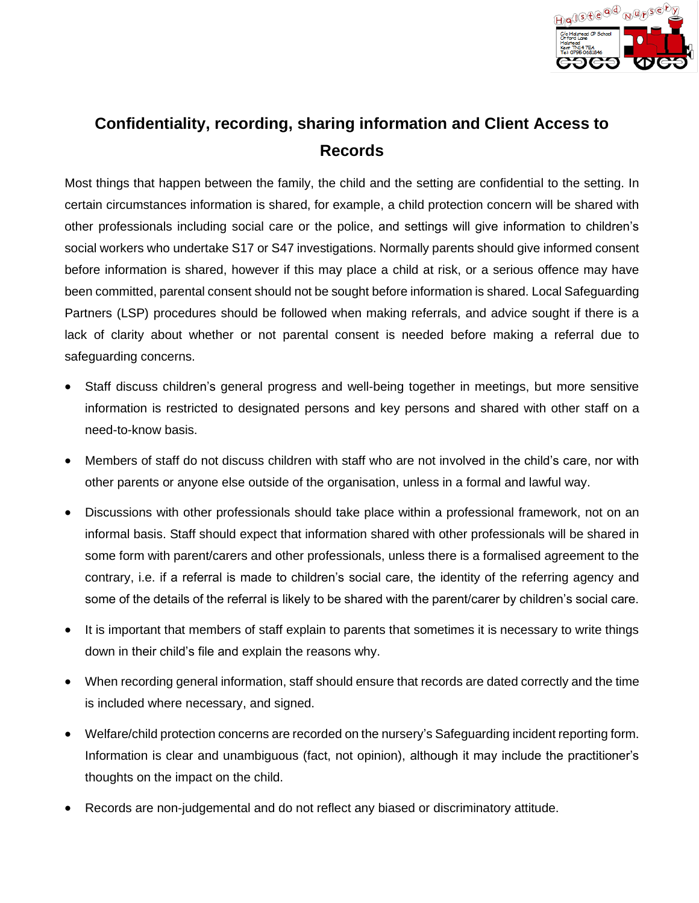

# **Confidentiality, recording, sharing information and Client Access to Records**

Most things that happen between the family, the child and the setting are confidential to the setting. In certain circumstances information is shared, for example, a child protection concern will be shared with other professionals including social care or the police, and settings will give information to children's social workers who undertake S17 or S47 investigations. Normally parents should give informed consent before information is shared, however if this may place a child at risk, or a serious offence may have been committed, parental consent should not be sought before information is shared. Local Safeguarding Partners (LSP) procedures should be followed when making referrals, and advice sought if there is a lack of clarity about whether or not parental consent is needed before making a referral due to safeguarding concerns.

- Staff discuss children's general progress and well-being together in meetings, but more sensitive information is restricted to designated persons and key persons and shared with other staff on a need-to-know basis.
- Members of staff do not discuss children with staff who are not involved in the child's care, nor with other parents or anyone else outside of the organisation, unless in a formal and lawful way.
- Discussions with other professionals should take place within a professional framework, not on an informal basis. Staff should expect that information shared with other professionals will be shared in some form with parent/carers and other professionals, unless there is a formalised agreement to the contrary, i.e. if a referral is made to children's social care, the identity of the referring agency and some of the details of the referral is likely to be shared with the parent/carer by children's social care.
- It is important that members of staff explain to parents that sometimes it is necessary to write things down in their child's file and explain the reasons why.
- When recording general information, staff should ensure that records are dated correctly and the time is included where necessary, and signed.
- Welfare/child protection concerns are recorded on the nursery's Safeguarding incident reporting form. Information is clear and unambiguous (fact, not opinion), although it may include the practitioner's thoughts on the impact on the child.
- Records are non-judgemental and do not reflect any biased or discriminatory attitude.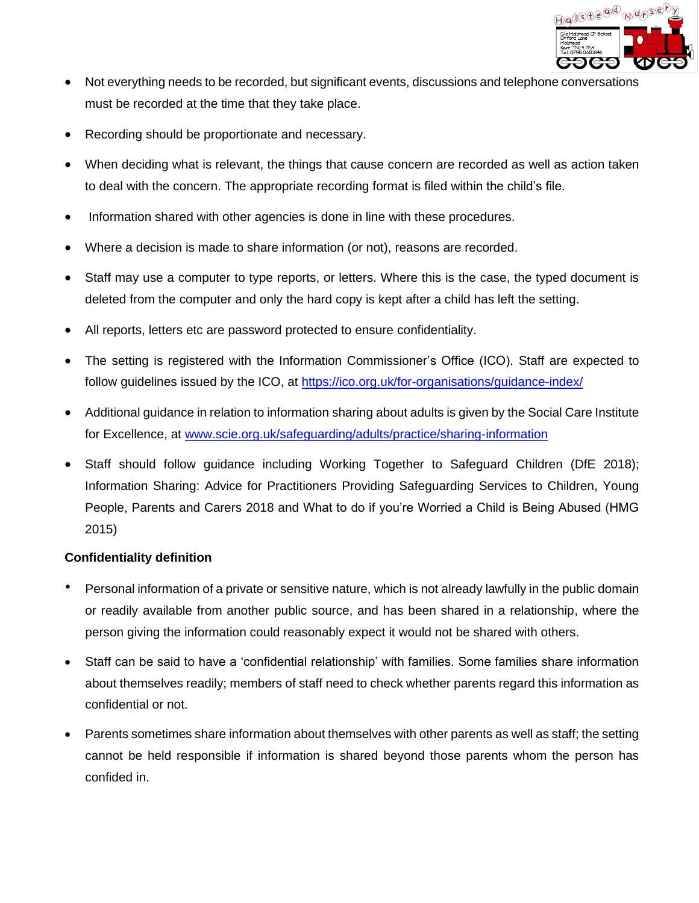

- Not everything needs to be recorded, but significant events, discussions and telephone conversations must be recorded at the time that they take place.
- Recording should be proportionate and necessary.
- When deciding what is relevant, the things that cause concern are recorded as well as action taken to deal with the concern. The appropriate recording format is filed within the child's file.
- Information shared with other agencies is done in line with these procedures.
- Where a decision is made to share information (or not), reasons are recorded.
- Staff may use a computer to type reports, or letters. Where this is the case, the typed document is deleted from the computer and only the hard copy is kept after a child has left the setting.
- All reports, letters etc are password protected to ensure confidentiality.
- The setting is registered with the Information Commissioner's Office (ICO). Staff are expected to follow guidelines issued by the ICO, at <https://ico.org.uk/for-organisations/guidance-index/>
- Additional guidance in relation to information sharing about adults is given by the Social Care Institute for Excellence, at [www.scie.org.uk/safeguarding/adults/practice/sharing-information](http://www.scie.org.uk/safeguarding/adults/practice/sharing-information)
- Staff should follow guidance including Working Together to Safeguard Children (DfE 2018); Information Sharing: Advice for Practitioners Providing Safeguarding Services to Children, Young People, Parents and Carers 2018 and What to do if you're Worried a Child is Being Abused (HMG 2015)

## **Confidentiality definition**

- Personal information of a private or sensitive nature, which is not already lawfully in the public domain or readily available from another public source, and has been shared in a relationship, where the person giving the information could reasonably expect it would not be shared with others.
- Staff can be said to have a 'confidential relationship' with families. Some families share information about themselves readily; members of staff need to check whether parents regard this information as confidential or not.
- Parents sometimes share information about themselves with other parents as well as staff; the setting cannot be held responsible if information is shared beyond those parents whom the person has confided in.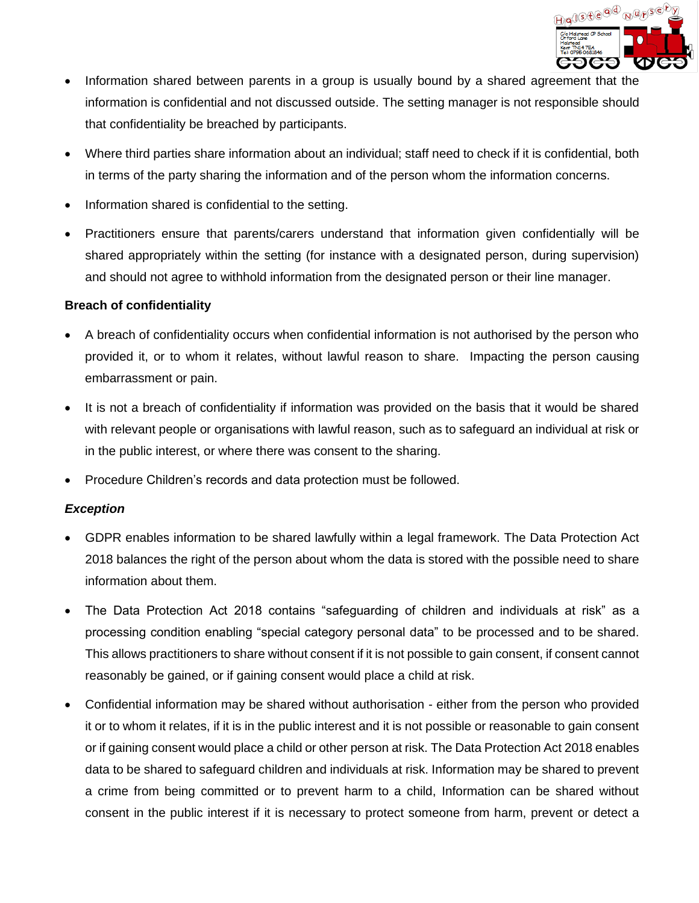

- Information shared between parents in a group is usually bound by a shared agreement that the information is confidential and not discussed outside. The setting manager is not responsible should that confidentiality be breached by participants.
- Where third parties share information about an individual; staff need to check if it is confidential, both in terms of the party sharing the information and of the person whom the information concerns.
- Information shared is confidential to the setting.
- Practitioners ensure that parents/carers understand that information given confidentially will be shared appropriately within the setting (for instance with a designated person, during supervision) and should not agree to withhold information from the designated person or their line manager.

#### **Breach of confidentiality**

- A breach of confidentiality occurs when confidential information is not authorised by the person who provided it, or to whom it relates, without lawful reason to share. Impacting the person causing embarrassment or pain.
- It is not a breach of confidentiality if information was provided on the basis that it would be shared with relevant people or organisations with lawful reason, such as to safeguard an individual at risk or in the public interest, or where there was consent to the sharing.
- Procedure Children's records and data protection must be followed.

#### *Exception*

- GDPR enables information to be shared lawfully within a legal framework. The Data Protection Act 2018 balances the right of the person about whom the data is stored with the possible need to share information about them.
- The Data Protection Act 2018 contains "safeguarding of children and individuals at risk" as a processing condition enabling "special category personal data" to be processed and to be shared. This allows practitioners to share without consent if it is not possible to gain consent, if consent cannot reasonably be gained, or if gaining consent would place a child at risk.
- Confidential information may be shared without authorisation either from the person who provided it or to whom it relates, if it is in the public interest and it is not possible or reasonable to gain consent or if gaining consent would place a child or other person at risk. The Data Protection Act 2018 enables data to be shared to safeguard children and individuals at risk. Information may be shared to prevent a crime from being committed or to prevent harm to a child, Information can be shared without consent in the public interest if it is necessary to protect someone from harm, prevent or detect a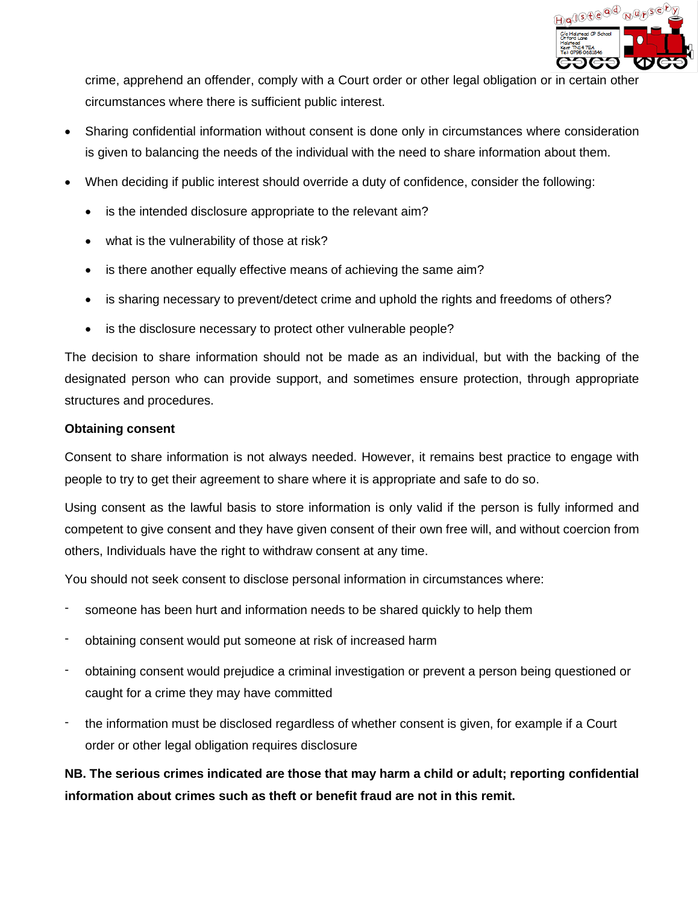

crime, apprehend an offender, comply with a Court order or other legal obligation or in certain other circumstances where there is sufficient public interest.

- Sharing confidential information without consent is done only in circumstances where consideration is given to balancing the needs of the individual with the need to share information about them.
- When deciding if public interest should override a duty of confidence, consider the following:
	- is the intended disclosure appropriate to the relevant aim?
	- what is the vulnerability of those at risk?
	- is there another equally effective means of achieving the same aim?
	- is sharing necessary to prevent/detect crime and uphold the rights and freedoms of others?
	- is the disclosure necessary to protect other vulnerable people?

The decision to share information should not be made as an individual, but with the backing of the designated person who can provide support, and sometimes ensure protection, through appropriate structures and procedures.

#### **Obtaining consent**

Consent to share information is not always needed. However, it remains best practice to engage with people to try to get their agreement to share where it is appropriate and safe to do so.

Using consent as the lawful basis to store information is only valid if the person is fully informed and competent to give consent and they have given consent of their own free will, and without coercion from others, Individuals have the right to withdraw consent at any time.

You should not seek consent to disclose personal information in circumstances where:

- someone has been hurt and information needs to be shared quickly to help them
- obtaining consent would put someone at risk of increased harm
- obtaining consent would prejudice a criminal investigation or prevent a person being questioned or caught for a crime they may have committed
- the information must be disclosed regardless of whether consent is given, for example if a Court order or other legal obligation requires disclosure

**NB. The serious crimes indicated are those that may harm a child or adult; reporting confidential information about crimes such as theft or benefit fraud are not in this remit.**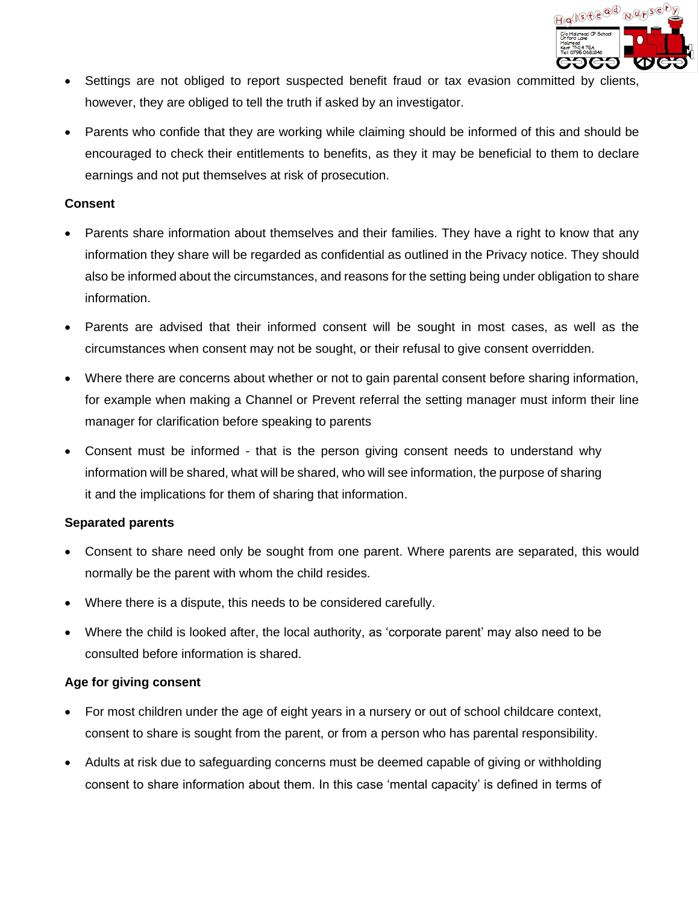

- Settings are not obliged to report suspected benefit fraud or tax evasion committed by clients, however, they are obliged to tell the truth if asked by an investigator.
- Parents who confide that they are working while claiming should be informed of this and should be encouraged to check their entitlements to benefits, as they it may be beneficial to them to declare earnings and not put themselves at risk of prosecution.

#### **Consent**

- Parents share information about themselves and their families. They have a right to know that any information they share will be regarded as confidential as outlined in the Privacy notice. They should also be informed about the circumstances, and reasons for the setting being under obligation to share information.
- Parents are advised that their informed consent will be sought in most cases, as well as the circumstances when consent may not be sought, or their refusal to give consent overridden.
- Where there are concerns about whether or not to gain parental consent before sharing information, for example when making a Channel or Prevent referral the setting manager must inform their line manager for clarification before speaking to parents
- Consent must be informed that is the person giving consent needs to understand why information will be shared, what will be shared, who will see information, the purpose of sharing it and the implications for them of sharing that information.

#### **Separated parents**

- Consent to share need only be sought from one parent. Where parents are separated, this would normally be the parent with whom the child resides.
- Where there is a dispute, this needs to be considered carefully.
- Where the child is looked after, the local authority, as 'corporate parent' may also need to be consulted before information is shared.

#### **Age for giving consent**

- For most children under the age of eight years in a nursery or out of school childcare context, consent to share is sought from the parent, or from a person who has parental responsibility.
- Adults at risk due to safeguarding concerns must be deemed capable of giving or withholding consent to share information about them. In this case 'mental capacity' is defined in terms of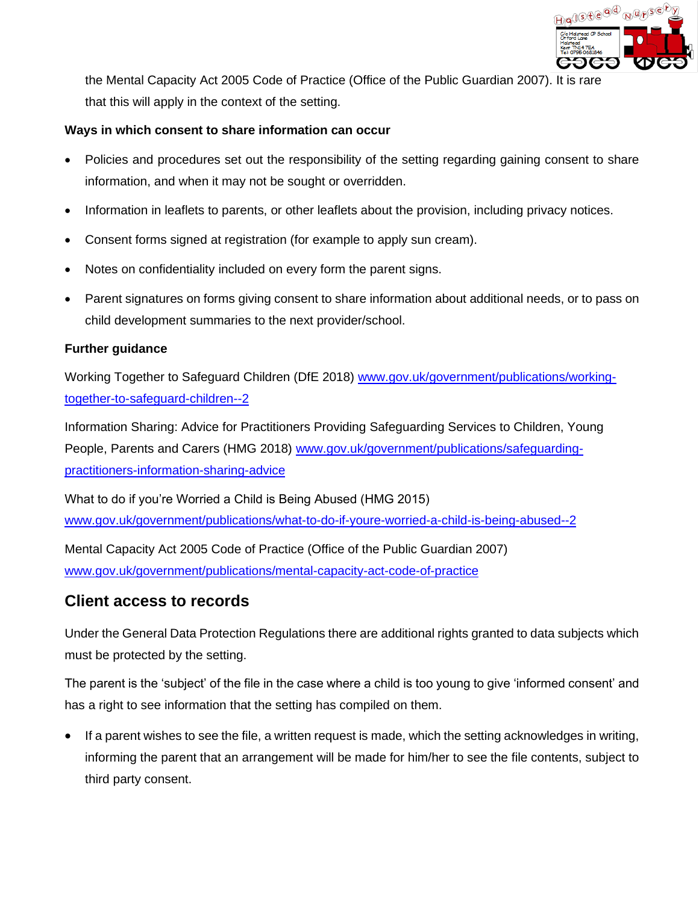

the Mental Capacity Act 2005 Code of Practice (Office of the Public Guardian 2007). It is rare that this will apply in the context of the setting.

### **Ways in which consent to share information can occur**

- Policies and procedures set out the responsibility of the setting regarding gaining consent to share information, and when it may not be sought or overridden.
- Information in leaflets to parents, or other leaflets about the provision, including privacy notices.
- Consent forms signed at registration (for example to apply sun cream).
- Notes on confidentiality included on every form the parent signs.
- Parent signatures on forms giving consent to share information about additional needs, or to pass on child development summaries to the next provider/school.

#### **Further guidance**

Working Together to Safeguard Children (DfE 2018) [www.gov.uk/government/publications/working](http://www.gov.uk/government/publications/working-together-to-safeguard-children--2)[together-to-safeguard-children--2](http://www.gov.uk/government/publications/working-together-to-safeguard-children--2)

Information Sharing: Advice for Practitioners Providing Safeguarding Services to Children, Young People, Parents and Carers (HMG 2018) [www.gov.uk/government/publications/safeguarding](http://www.gov.uk/government/publications/safeguarding-practitioners-information-sharing-advice)[practitioners-information-sharing-advice](http://www.gov.uk/government/publications/safeguarding-practitioners-information-sharing-advice)

What to do if you're Worried a Child is Being Abused (HMG 2015) [www.gov.uk/government/publications/what-to-do-if-youre-worried-a-child-is-being-abused--2](http://www.gov.uk/government/publications/what-to-do-if-youre-worried-a-child-is-being-abused--2)

Mental Capacity Act 2005 Code of Practice (Office of the Public Guardian 2007) [www.gov.uk/government/publications/mental-capacity-act-code-of-practice](http://www.gov.uk/government/publications/mental-capacity-act-code-of-practice)

# **Client access to records**

Under the General Data Protection Regulations there are additional rights granted to data subjects which must be protected by the setting.

The parent is the 'subject' of the file in the case where a child is too young to give 'informed consent' and has a right to see information that the setting has compiled on them.

• If a parent wishes to see the file, a written request is made, which the setting acknowledges in writing, informing the parent that an arrangement will be made for him/her to see the file contents, subject to third party consent.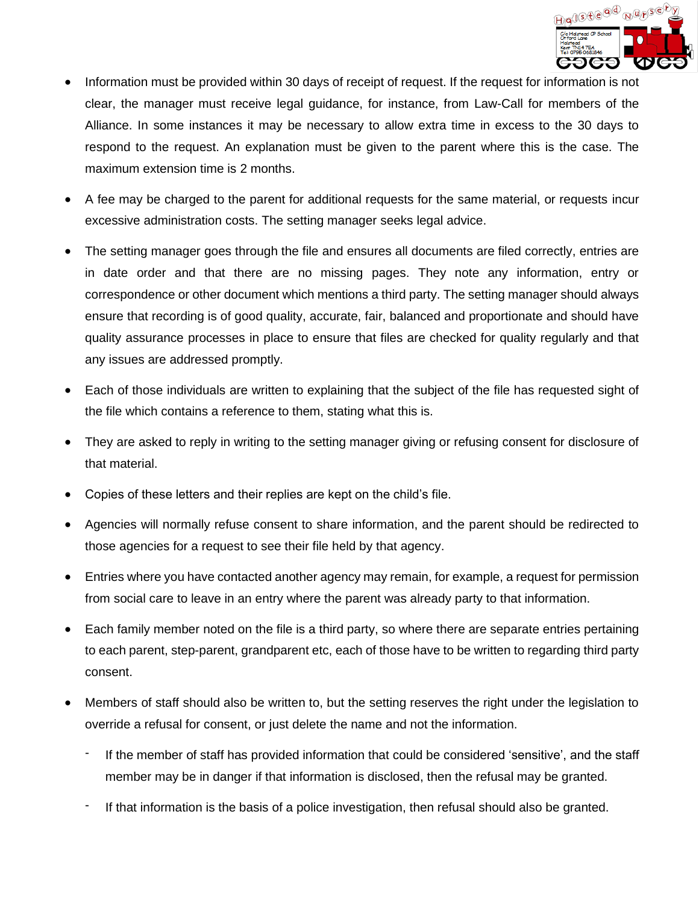

- Information must be provided within 30 days of receipt of request. If the request for information is not clear, the manager must receive legal guidance, for instance, from Law-Call for members of the Alliance. In some instances it may be necessary to allow extra time in excess to the 30 days to respond to the request. An explanation must be given to the parent where this is the case. The maximum extension time is 2 months.
- A fee may be charged to the parent for additional requests for the same material, or requests incur excessive administration costs. The setting manager seeks legal advice.
- The setting manager goes through the file and ensures all documents are filed correctly, entries are in date order and that there are no missing pages. They note any information, entry or correspondence or other document which mentions a third party. The setting manager should always ensure that recording is of good quality, accurate, fair, balanced and proportionate and should have quality assurance processes in place to ensure that files are checked for quality regularly and that any issues are addressed promptly.
- Each of those individuals are written to explaining that the subject of the file has requested sight of the file which contains a reference to them, stating what this is.
- They are asked to reply in writing to the setting manager giving or refusing consent for disclosure of that material.
- Copies of these letters and their replies are kept on the child's file.
- Agencies will normally refuse consent to share information, and the parent should be redirected to those agencies for a request to see their file held by that agency.
- Entries where you have contacted another agency may remain, for example, a request for permission from social care to leave in an entry where the parent was already party to that information.
- Each family member noted on the file is a third party, so where there are separate entries pertaining to each parent, step-parent, grandparent etc, each of those have to be written to regarding third party consent.
- Members of staff should also be written to, but the setting reserves the right under the legislation to override a refusal for consent, or just delete the name and not the information.
	- If the member of staff has provided information that could be considered 'sensitive', and the staff member may be in danger if that information is disclosed, then the refusal may be granted.
	- If that information is the basis of a police investigation, then refusal should also be granted.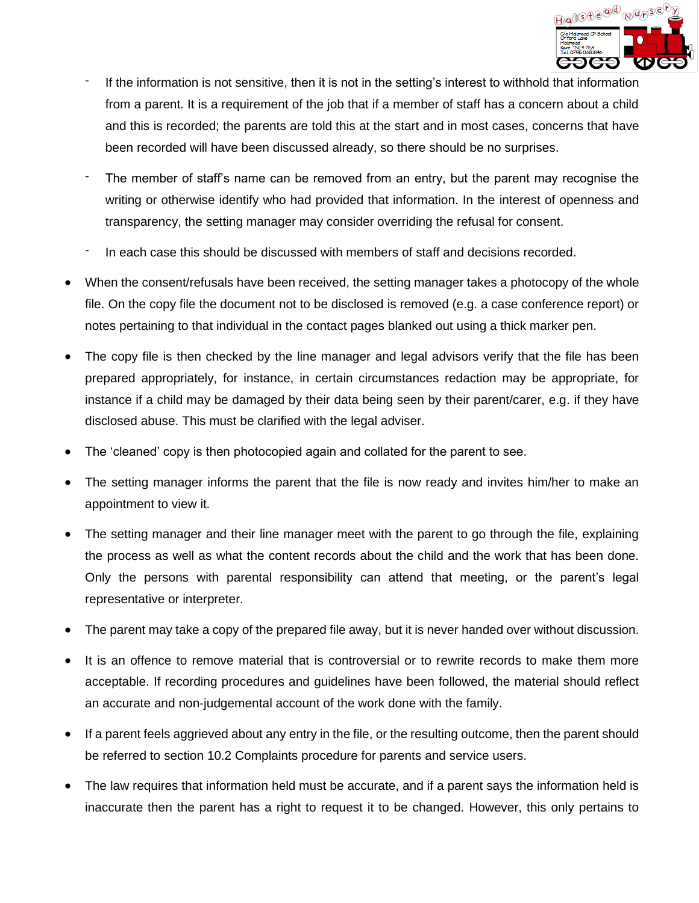

- If the information is not sensitive, then it is not in the setting's interest to withhold that information from a parent. It is a requirement of the job that if a member of staff has a concern about a child and this is recorded; the parents are told this at the start and in most cases, concerns that have been recorded will have been discussed already, so there should be no surprises.
- The member of staff's name can be removed from an entry, but the parent may recognise the writing or otherwise identify who had provided that information. In the interest of openness and transparency, the setting manager may consider overriding the refusal for consent.
- In each case this should be discussed with members of staff and decisions recorded.
- When the consent/refusals have been received, the setting manager takes a photocopy of the whole file. On the copy file the document not to be disclosed is removed (e.g. a case conference report) or notes pertaining to that individual in the contact pages blanked out using a thick marker pen.
- The copy file is then checked by the line manager and legal advisors verify that the file has been prepared appropriately, for instance, in certain circumstances redaction may be appropriate, for instance if a child may be damaged by their data being seen by their parent/carer, e.g. if they have disclosed abuse. This must be clarified with the legal adviser.
- The 'cleaned' copy is then photocopied again and collated for the parent to see.
- The setting manager informs the parent that the file is now ready and invites him/her to make an appointment to view it.
- The setting manager and their line manager meet with the parent to go through the file, explaining the process as well as what the content records about the child and the work that has been done. Only the persons with parental responsibility can attend that meeting, or the parent's legal representative or interpreter.
- The parent may take a copy of the prepared file away, but it is never handed over without discussion.
- It is an offence to remove material that is controversial or to rewrite records to make them more acceptable. If recording procedures and guidelines have been followed, the material should reflect an accurate and non-judgemental account of the work done with the family.
- If a parent feels aggrieved about any entry in the file, or the resulting outcome, then the parent should be referred to section 10.2 Complaints procedure for parents and service users.
- The law requires that information held must be accurate, and if a parent says the information held is inaccurate then the parent has a right to request it to be changed. However, this only pertains to